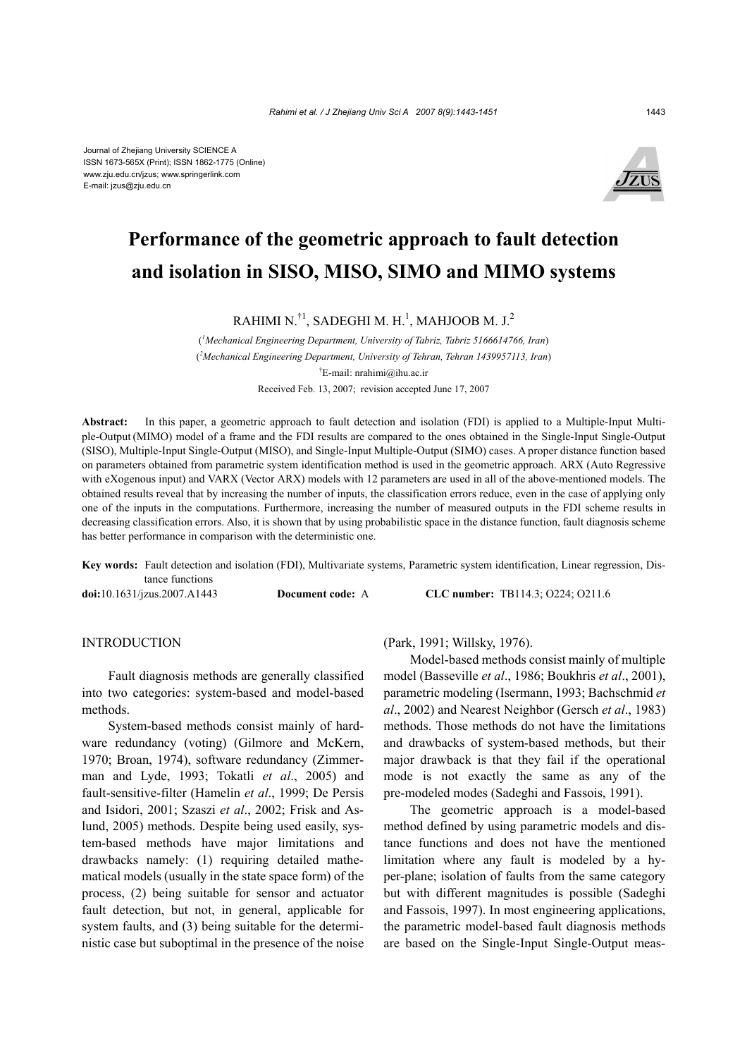

# **Performance of the geometric approach to fault detection and isolation in SISO, MISO, SIMO and MIMO systems**

RAHIMI N. $^{\dagger1}$ , SADEGHI M. H. $^1$ , MAHJOOB M. J.<sup>2</sup>

( *1 Mechanical Engineering Department, University of Tabriz, Tabriz 5166614766, Iran*) ( *2 Mechanical Engineering Department, University of Tehran, Tehran 1439957113, Iran*) † E-mail: nrahimi@ihu.ac.ir Received Feb. 13, 2007; revision accepted June 17, 2007

**Abstract:** In this paper, a geometric approach to fault detection and isolation (FDI) is applied to a Multiple-Input Multiple-Output (MIMO) model of a frame and the FDI results are compared to the ones obtained in the Single-Input Single-Output (SISO), Multiple-Input Single-Output (MISO), and Single-Input Multiple-Output (SIMO) cases. A proper distance function based on parameters obtained from parametric system identification method is used in the geometric approach. ARX (Auto Regressive with eXogenous input) and VARX (Vector ARX) models with 12 parameters are used in all of the above-mentioned models. The obtained results reveal that by increasing the number of inputs, the classification errors reduce, even in the case of applying only one of the inputs in the computations. Furthermore, increasing the number of measured outputs in the FDI scheme results in decreasing classification errors. Also, it is shown that by using probabilistic space in the distance function, fault diagnosis scheme has better performance in comparison with the deterministic one.

**Key words:** Fault detection and isolation (FDI), Multivariate systems, Parametric system identification, Linear regression, Distance functions

**doi:**10.1631/jzus.2007.A1443 **Document code:** A **CLC number:** TB114.3; O224; O211.6

# **INTRODUCTION**

Fault diagnosis methods are generally classified into two categories: system-based and model-based methods.

System-based methods consist mainly of hardware redundancy (voting) (Gilmore and McKern, 1970; Broan, 1974), software redundancy (Zimmerman and Lyde, 1993; Tokatli *et al*., 2005) and fault-sensitive-filter (Hamelin *et al*., 1999; De Persis and Isidori, 2001; Szaszi *et al*., 2002; Frisk and Aslund, 2005) methods. Despite being used easily, system-based methods have major limitations and drawbacks namely: (1) requiring detailed mathematical models (usually in the state space form) of the process, (2) being suitable for sensor and actuator fault detection, but not, in general, applicable for system faults, and (3) being suitable for the deterministic case but suboptimal in the presence of the noise

(Park, 1991; Willsky, 1976).

Model-based methods consist mainly of multiple model (Basseville *et al*., 1986; Boukhris *et al*., 2001), parametric modeling (Isermann, 1993; Bachschmid *et al*., 2002) and Nearest Neighbor (Gersch *et al*., 1983) methods. Those methods do not have the limitations and drawbacks of system-based methods, but their major drawback is that they fail if the operational mode is not exactly the same as any of the pre-modeled modes (Sadeghi and Fassois, 1991).

The geometric approach is a model-based method defined by using parametric models and distance functions and does not have the mentioned limitation where any fault is modeled by a hyper-plane; isolation of faults from the same category but with different magnitudes is possible (Sadeghi and Fassois, 1997). In most engineering applications, the parametric model-based fault diagnosis methods are based on the Single-Input Single-Output meas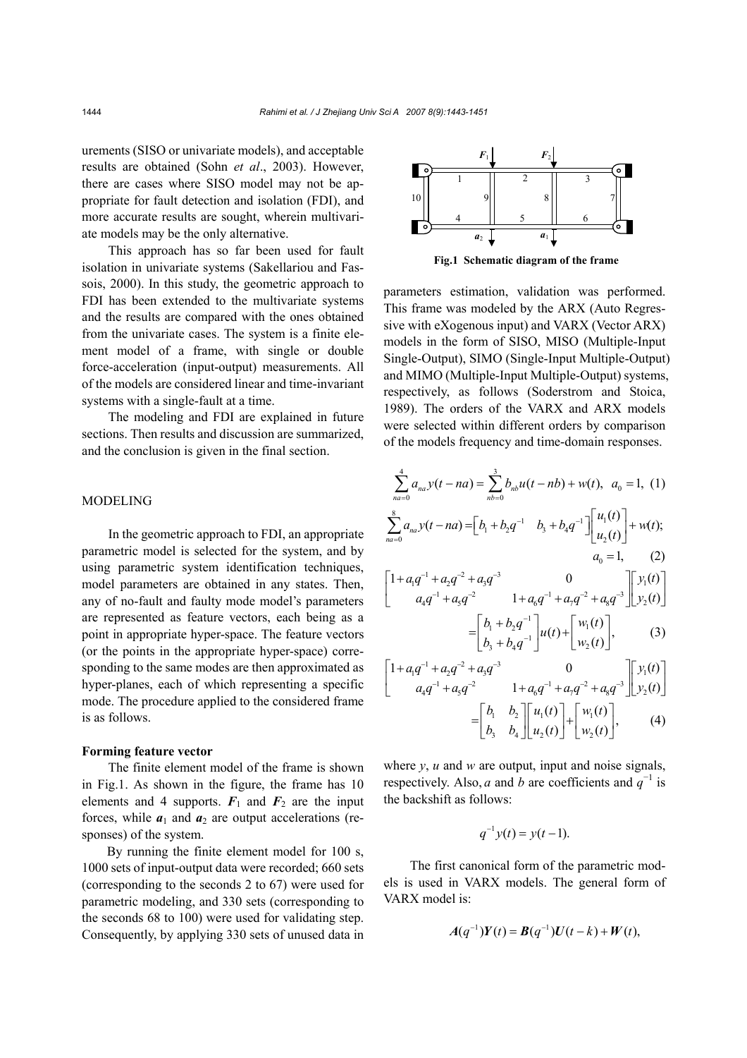urements (SISO or univariate models), and acceptable results are obtained (Sohn *et al*., 2003). However, there are cases where SISO model may not be appropriate for fault detection and isolation (FDI), and more accurate results are sought, wherein multivariate models may be the only alternative.

This approach has so far been used for fault isolation in univariate systems (Sakellariou and Fassois, 2000). In this study, the geometric approach to FDI has been extended to the multivariate systems and the results are compared with the ones obtained from the univariate cases. The system is a finite element model of a frame, with single or double force-acceleration (input-output) measurements. All of the models are considered linear and time-invariant systems with a single-fault at a time.

The modeling and FDI are explained in future sections. Then results and discussion are summarized, and the conclusion is given in the final section.

## MODELING

In the geometric approach to FDI, an appropriate parametric model is selected for the system, and by using parametric system identification techniques, model parameters are obtained in any states. Then, any of no-fault and faulty mode model's parameters are represented as feature vectors, each being as a point in appropriate hyper-space. The feature vectors (or the points in the appropriate hyper-space) corresponding to the same modes are then approximated as hyper-planes, each of which representing a specific mode. The procedure applied to the considered frame is as follows.

#### **Forming feature vector**

The finite element model of the frame is shown in Fig.1. As shown in the figure, the frame has 10 elements and 4 supports.  $F_1$  and  $F_2$  are the input forces, while  $a_1$  and  $a_2$  are output accelerations (responses) of the system.

By running the finite element model for 100 s, 1000 sets of input-output data were recorded; 660 sets (corresponding to the seconds 2 to 67) were used for parametric modeling, and 330 sets (corresponding to the seconds 68 to 100) were used for validating step. Consequently, by applying 330 sets of unused data in



**Fig.1 Schematic diagram of the frame**

parameters estimation, validation was performed. This frame was modeled by the ARX (Auto Regressive with eXogenous input) and VARX (Vector ARX) models in the form of SISO, MISO (Multiple-Input Single-Output), SIMO (Single-Input Multiple-Output) and MIMO (Multiple-Input Multiple-Output) systems, respectively, as follows (Soderstrom and Stoica, 1989). The orders of the VARX and ARX models were selected within different orders by comparison of the models frequency and time-domain responses.

$$
\sum_{n_{a=0}}^{4} a_{na} y(t - na) = \sum_{nb=0}^{3} b_{nb} u(t - nb) + w(t), \quad a_0 = 1, (1)
$$
  

$$
\sum_{n_{a=0}}^{8} a_{na} y(t - na) = \left[ b_1 + b_2 q^{-1} \quad b_3 + b_4 q^{-1} \right] \left[ u_1(t) \quad u_2(t) \right] + w(t);
$$
  

$$
a_0 = 1, (2)
$$
  

$$
\left[ 1 + a_1 q^{-1} + a_2 q^{-2} + a_3 q^{-3} \quad 0 \quad 1 + a_6 q^{-1} + a_7 q^{-2} + a_8 q^{-3} \right] \left[ y_1(t) \quad 1 + b_2 q^{-1} \right] + w_2(t)
$$
  

$$
= \left[ b_1 + b_2 q^{-1} \quad u(t) + \left[ w_1(t) \quad w_2(t) \right], (3)
$$
  

$$
\left[ 1 + a_1 q^{-1} + a_2 q^{-2} + a_3 q^{-3} \quad 0 \quad 1 + a_6 q^{-1} + a_7 q^{-2} + a_8 q^{-3} \right] \left[ y_1(t) \quad 1 + a_7 q^{-1} + a_5 q^{-2} \quad 1 + a_6 q^{-1} + a_7 q^{-2} + a_8 q^{-3} \right] \left[ y_2(t) \right] = \left[ b_1 \quad b_2 \quad u_1(t) \right] + \left[ w_1(t) \quad 1 + w_2(t) \right], (4)
$$

where *y*, *u* and *w* are output, input and noise signals, respectively. Also, *a* and *b* are coefficients and  $q^{-1}$  is the backshift as follows:

$$
q^{-1}y(t) = y(t-1).
$$

The first canonical form of the parametric models is used in VARX models. The general form of VARX model is:

$$
A(q^{-1})Y(t) = B(q^{-1})U(t-k) + W(t),
$$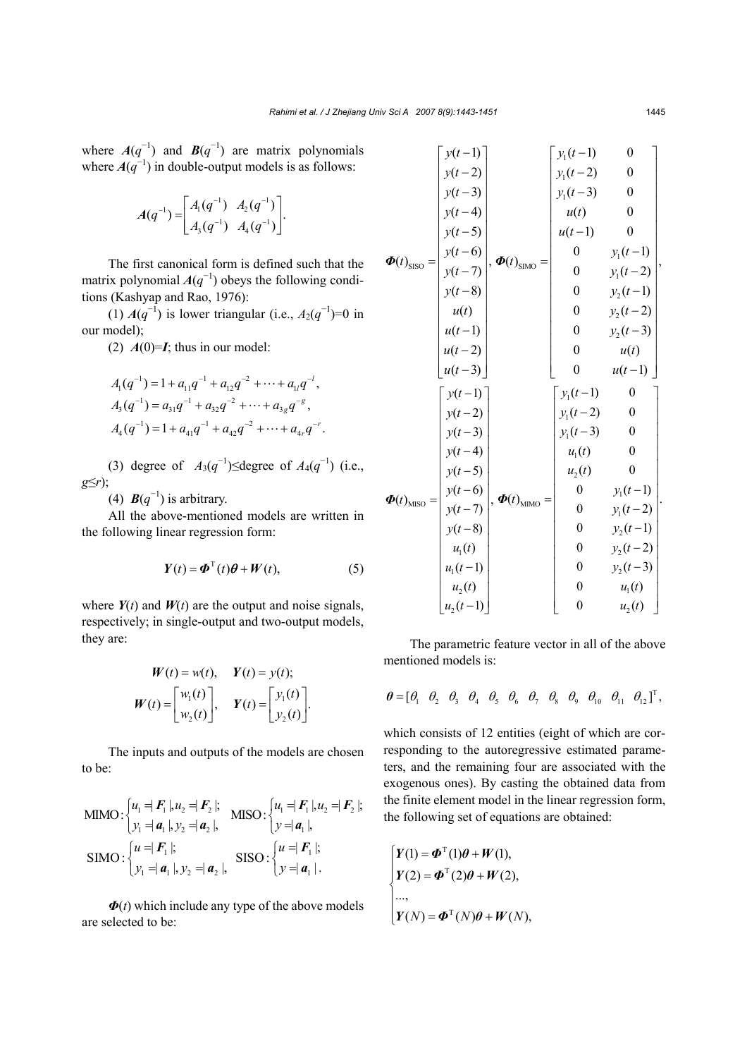where  $A(q^{-1})$  and  $B(q^{-1})$  are matrix polynomials where  $A(q^{-1})$  in double-output models is as follows:

$$
A(q^{-1}) = \begin{bmatrix} A_1(q^{-1}) & A_2(q^{-1}) \\ A_3(q^{-1}) & A_4(q^{-1}) \end{bmatrix}.
$$

The first canonical form is defined such that the matrix polynomial  $A(q^{-1})$  obeys the following conditions (Kashyap and Rao, 1976):

(1)  $A(q^{-1})$  is lower triangular (i.e.,  $A_2(q^{-1})$ =0 in our model);

(2)  $A(0)=I$ ; thus in our model:

$$
A_1(q^{-1}) = 1 + a_{11}q^{-1} + a_{12}q^{-2} + \dots + a_{1l}q^{-l},
$$
  
\n
$$
A_3(q^{-1}) = a_{31}q^{-1} + a_{32}q^{-2} + \dots + a_{3g}q^{-g},
$$
  
\n
$$
A_4(q^{-1}) = 1 + a_{41}q^{-1} + a_{42}q^{-2} + \dots + a_{4r}q^{-r}.
$$

(3) degree of  $A_3(q^{-1})$ ≤degree of  $A_4(q^{-1})$  (i.e., *g*≤*r*);

(4)  $\mathbf{B}(q^{-1})$  is arbitrary.

All the above-mentioned models are written in the following linear regression form:

$$
Y(t) = \boldsymbol{\Phi}^{T}(t)\boldsymbol{\theta} + \boldsymbol{W}(t), \qquad (5)
$$

where  $Y(t)$  and  $W(t)$  are the output and noise signals, respectively; in single-output and two-output models, they are:

$$
W(t) = w(t), \quad Y(t) = y(t);
$$
  

$$
W(t) = \begin{bmatrix} w_1(t) \\ w_2(t) \end{bmatrix}, \quad Y(t) = \begin{bmatrix} y_1(t) \\ y_2(t) \end{bmatrix}.
$$

The inputs and outputs of the models are chosen to be:

MIMO: 
$$
\begin{cases} u_1 = |F_1|, u_2 = |F_2|; \\ v_1 = |a_1|, v_2 = |a_2|, \end{cases}
$$
 MISO:  $\begin{cases} u_1 = |F_1|, u_2 = |F_2|; \\ y = |a_1|, \end{cases}$   
\nSIMO:  $\begin{cases} u = |F_1|; \\ v_1 = |a_1|, v_2 = |a_2|, \end{cases}$  SISO:  $\begin{cases} u = |F_1|; \\ y = |a_1| \end{cases}$ 

*Φ*(*t*) which include any type of the above models are selected to be:

|                                        | $y(t-1)$   |                                          | $y_1(t-1)$                           | $\boldsymbol{0}$ |  |
|----------------------------------------|------------|------------------------------------------|--------------------------------------|------------------|--|
|                                        | $y(t-2)$   |                                          | $y_1(t-2)$                           | $\boldsymbol{0}$ |  |
| $\boldsymbol{\Phi}(t)_{\text{SISO}} =$ | $y(t-3)$   |                                          | $y_1(t-3)$                           | $\boldsymbol{0}$ |  |
|                                        | $y(t-4)$   |                                          | u(t)                                 | $\boldsymbol{0}$ |  |
|                                        | $y(t-5)$   | , $\boldsymbol{\Phi}(t)_{\text{SIMO}} =$ | $u(t-1)$                             | $\boldsymbol{0}$ |  |
|                                        | $y(t-6)$   |                                          | $\overline{0}$                       | $y_1(t-1)$       |  |
|                                        | $y(t-7)$   |                                          | $\boldsymbol{0}$                     | $y_1(t-2)$       |  |
|                                        | $y(t-8)$   |                                          | $\boldsymbol{0}$                     | $y_2(t-1)$       |  |
|                                        | u(t)       |                                          | $\boldsymbol{0}$                     | $y_2(t-2)$       |  |
|                                        | $u(t-1)$   |                                          | $\overline{0}$                       | $y_2(t-3)$       |  |
|                                        | $u(t-2)$   |                                          | $\mathbf{0}$                         | u(t)             |  |
|                                        | $u(t-3)$   |                                          | $\mathbf{0}$                         | $u(t-1)$         |  |
|                                        |            |                                          |                                      |                  |  |
|                                        | $y(t-1)$   |                                          | $y_1(t-1)$                           | $\boldsymbol{0}$ |  |
|                                        | $y(t-2)$   |                                          | $y_1(t-2)$                           | $\boldsymbol{0}$ |  |
|                                        | $y(t-3)$   |                                          | $y_1(t-3)$                           | $\overline{0}$   |  |
|                                        | $y(t-4)$   |                                          | $u_1(t)$                             | $\theta$         |  |
|                                        | $y(t-5)$   |                                          | $u_2(t)$                             | $\boldsymbol{0}$ |  |
|                                        | $y(t-6)$   |                                          | $\boldsymbol{0}$                     | $y_1(t-1)$       |  |
| $\boldsymbol{\Phi}(t)_{\text{MISO}} =$ | $y(t-7)$   | , $\boldsymbol{\Phi}(t)_{\text{MIMO}} =$ | $\boldsymbol{0}$                     | $y_1(t-2)$       |  |
|                                        | $y(t-8)$   |                                          | $\mathbf{0}$                         | $y_2(t-1)$       |  |
|                                        | $u_1(t)$   |                                          | $\boldsymbol{0}$                     | $y_2(t-2)$       |  |
|                                        | $u_1(t-1)$ |                                          | $\boldsymbol{0}$                     | $y_2(t-3)$       |  |
|                                        | $u_2(t)$   |                                          | $\boldsymbol{0}$<br>$\boldsymbol{0}$ | $u_1(t)$         |  |

The parametric feature vector in all of the above mentioned models is:

$$
\boldsymbol{\theta} = [\theta_1 \quad \theta_2 \quad \theta_3 \quad \theta_4 \quad \theta_5 \quad \theta_6 \quad \theta_7 \quad \theta_8 \quad \theta_9 \quad \theta_{10} \quad \theta_{11} \quad \theta_{12}]^T,
$$

which consists of 12 entities (eight of which are corresponding to the autoregressive estimated parameters, and the remaining four are associated with the exogenous ones). By casting the obtained data from the finite element model in the linear regression form, the following set of equations are obtained:

$$
\begin{cases}\nY(1) = \boldsymbol{\Phi}^{T}(1)\boldsymbol{\theta} + \boldsymbol{W}(1), \\
Y(2) = \boldsymbol{\Phi}^{T}(2)\boldsymbol{\theta} + \boldsymbol{W}(2), \\
\cdots, \\
Y(N) = \boldsymbol{\Phi}^{T}(N)\boldsymbol{\theta} + \boldsymbol{W}(N),\n\end{cases}
$$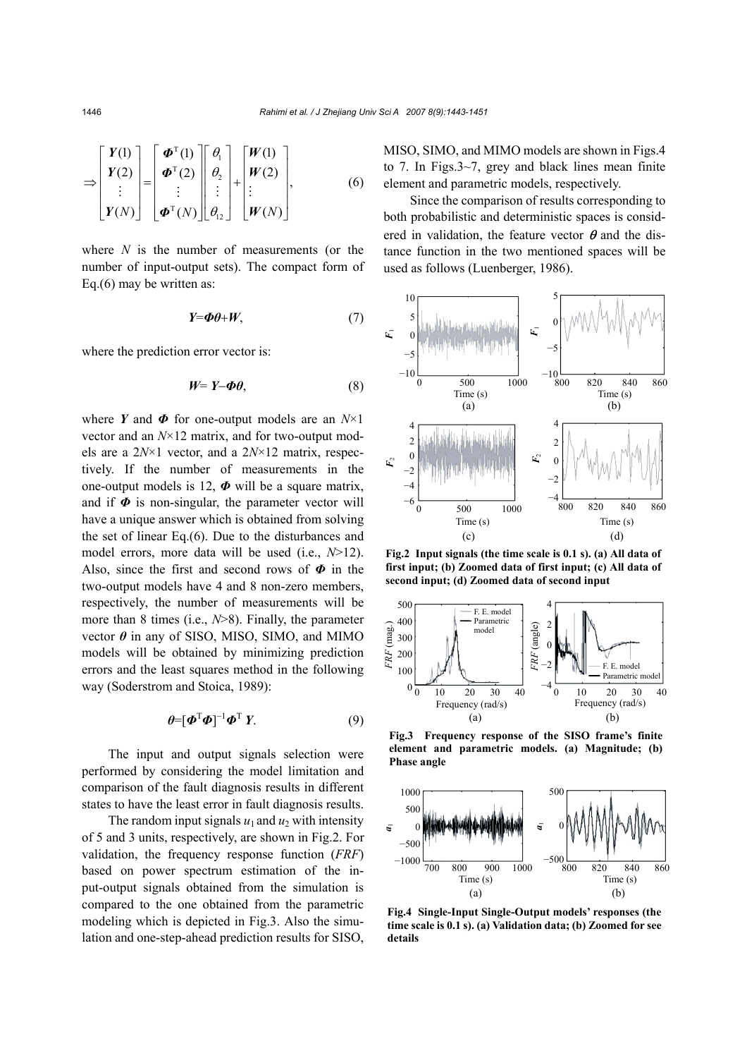$$
\Rightarrow \begin{bmatrix} Y(1) \\ Y(2) \\ \vdots \\ Y(N) \end{bmatrix} = \begin{bmatrix} \boldsymbol{\Phi}^{\mathrm{T}}(1) \\ \boldsymbol{\Phi}^{\mathrm{T}}(2) \\ \vdots \\ \boldsymbol{\Phi}^{\mathrm{T}}(N) \end{bmatrix} \begin{bmatrix} \theta_1 \\ \theta_2 \\ \vdots \\ \theta_{12} \end{bmatrix} + \begin{bmatrix} W(1) \\ W(2) \\ \vdots \\ W(N) \end{bmatrix}, \tag{6}
$$

where *N* is the number of measurements (or the number of input-output sets). The compact form of Eq.(6) may be written as:

$$
Y = \Phi \theta + W, \tag{7}
$$

where the prediction error vector is:

$$
W=Y-\Phi\theta,\tag{8}
$$

where *Y* and *Φ* for one-output models are an *N*×1 vector and an *N*×12 matrix, and for two-output models are a 2*N*×1 vector, and a 2*N*×12 matrix, respectively. If the number of measurements in the one-output models is 12,  $\Phi$  will be a square matrix, and if  $\Phi$  is non-singular, the parameter vector will have a unique answer which is obtained from solving the set of linear Eq.(6). Due to the disturbances and model errors, more data will be used (i.e., *N*>12). Also, since the first and second rows of *Φ* in the two-output models have 4 and 8 non-zero members, respectively, the number of measurements will be more than 8 times (i.e., *N*>8). Finally, the parameter vector  $\theta$  in any of SISO, MISO, SIMO, and MIMO models will be obtained by minimizing prediction errors and the least squares method in the following way (Soderstrom and Stoica, 1989):

$$
\boldsymbol{\theta} = [\boldsymbol{\Phi}^{\mathrm{T}} \boldsymbol{\Phi}]^{-1} \boldsymbol{\Phi}^{\mathrm{T}} \boldsymbol{Y}.
$$
 (9)

The input and output signals selection were performed by considering the model limitation and comparison of the fault diagnosis results in different states to have the least error in fault diagnosis results.

The random input signals  $u_1$  and  $u_2$  with intensity of 5 and 3 units, respectively, are shown in Fig.2. For validation, the frequency response function (*FRF*) based on power spectrum estimation of the input-output signals obtained from the simulation is compared to the one obtained from the parametric modeling which is depicted in Fig.3. Also the simulation and one-step-ahead prediction results for SISO,

MISO, SIMO, and MIMO models are shown in Figs.4 to 7. In Figs.3~7, grey and black lines mean finite element and parametric models, respectively.

Since the comparison of results corresponding to both probabilistic and deterministic spaces is considered in validation, the feature vector  $\theta$  and the distance function in the two mentioned spaces will be used as follows (Luenberger, 1986).



**Fig.2 Input signals (the time scale is 0.1 s). (a) All data of first input; (b) Zoomed data of first input; (c) All data of second input; (d) Zoomed data of second input**



**Fig.3 Frequency response of the SISO frame's finite element and parametric models. (a) Magnitude; (b) Phase angle**



**Fig.4 Single-Input Single-Output models' responses (the time scale is 0.1 s). (a) Validation data; (b) Zoomed for see details**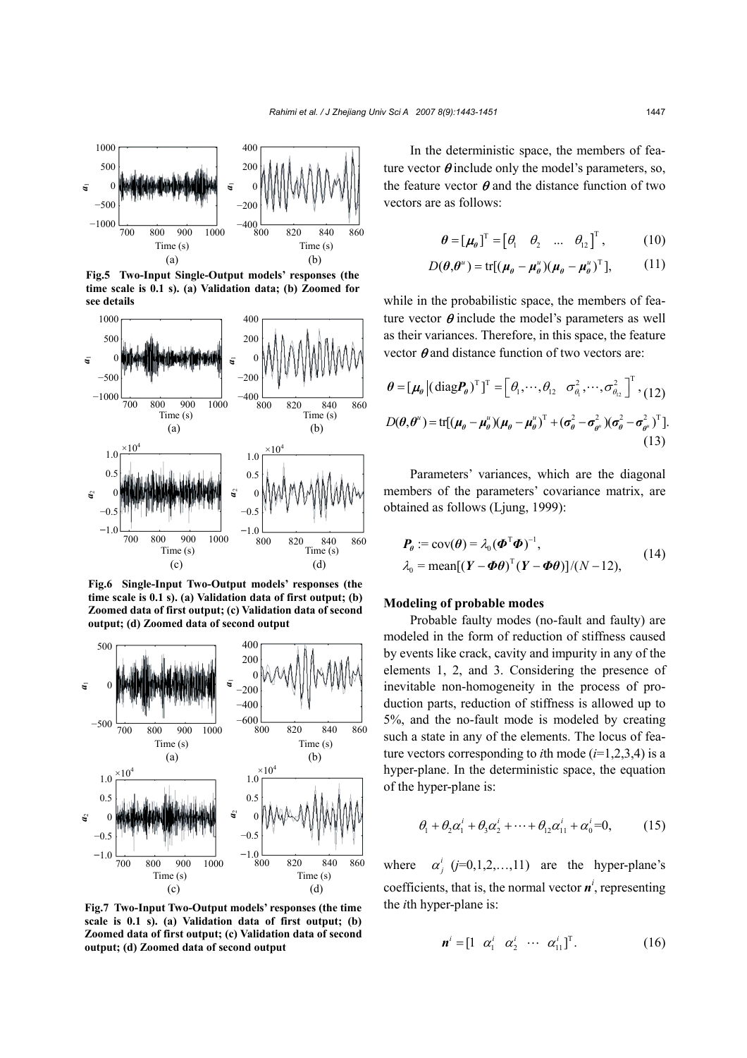

**Fig.5 Two-Input Single-Output models' responses (the time scale is 0.1 s). (a) Validation data; (b) Zoomed for see details**



**Fig.6 Single-Input Two-Output models' responses (the time scale is 0.1 s). (a) Validation data of first output; (b) Zoomed data of first output; (c) Validation data of second output; (d) Zoomed data of second output**



**Fig.7 Two-Input Two-Output models' responses (the time scale is 0.1 s). (a) Validation data of first output; (b) Zoomed data of first output; (c) Validation data of second output; (d) Zoomed data of second output**

In the deterministic space, the members of feature vector  $\theta$  include only the model's parameters, so, the feature vector  $\theta$  and the distance function of two vectors are as follows:

$$
\boldsymbol{\theta} = [\boldsymbol{\mu}_{\boldsymbol{\theta}}]^{T} = [\theta_1 \quad \theta_2 \quad \dots \quad \theta_{12}]^{T}, \quad (10)
$$

$$
D(\boldsymbol{\theta}, \boldsymbol{\theta}^u) = \text{tr}[(\boldsymbol{\mu}_{\theta} - \boldsymbol{\mu}_{\theta}^u)(\boldsymbol{\mu}_{\theta} - \boldsymbol{\mu}_{\theta}^u)^T],
$$
 (11)

while in the probabilistic space, the members of feature vector  $\theta$  include the model's parameters as well as their variances. Therefore, in this space, the feature vector  $\theta$  and distance function of two vectors are:

$$
\theta = [\mu_{\theta} | (\text{diag} P_{\theta})^{\text{T}}]^{\text{T}} = [\theta_1, \cdots, \theta_{12} \quad \sigma_{\theta_1}^2, \cdots, \sigma_{\theta_{12}}^2]^{\text{T}}, (12)
$$
  

$$
D(\theta, \theta^{\mu}) = \text{tr}[(\mu_{\theta} - \mu_{\theta}^{\mu})(\mu_{\theta} - \mu_{\theta}^{\mu})^{\text{T}} + (\sigma_{\theta}^2 - \sigma_{\theta^{\mu}}^2)(\sigma_{\theta}^2 - \sigma_{\theta^{\mu}}^2)^{\text{T}}].
$$
  
(13)

Parameters' variances, which are the diagonal members of the parameters' covariance matrix, are obtained as follows (Ljung, 1999):

$$
\begin{aligned} \boldsymbol{P}_{\theta} &:= \text{cov}(\boldsymbol{\theta}) = \lambda_0 (\boldsymbol{\Phi}^{\mathrm{T}} \boldsymbol{\Phi})^{-1}, \\ \lambda_0 &= \text{mean}[(\boldsymbol{Y} - \boldsymbol{\Phi}\boldsymbol{\theta})^{\mathrm{T}}(\boldsymbol{Y} - \boldsymbol{\Phi}\boldsymbol{\theta})]/(N - 12), \end{aligned} \tag{14}
$$

## **Modeling of probable modes**

Probable faulty modes (no-fault and faulty) are modeled in the form of reduction of stiffness caused by events like crack, cavity and impurity in any of the elements 1, 2, and 3. Considering the presence of inevitable non-homogeneity in the process of production parts, reduction of stiffness is allowed up to 5%, and the no-fault mode is modeled by creating such a state in any of the elements. The locus of feature vectors corresponding to *i*th mode  $(i=1,2,3,4)$  is a hyper-plane. In the deterministic space, the equation of the hyper-plane is:

$$
\theta_1 + \theta_2 \alpha_1^i + \theta_3 \alpha_2^i + \dots + \theta_{12} \alpha_{11}^i + \alpha_0^i = 0, \qquad (15)
$$

where  $\alpha^i_j$  ( $j=0,1,2,...,11$ ) are the hyper-plane's coefficients, that is, the normal vector  $\boldsymbol{n}^i$ , representing the *i*th hyper-plane is:

$$
\mathbf{n}^i = \begin{bmatrix} 1 & \alpha_1^i & \alpha_2^i & \cdots & \alpha_{11}^i \end{bmatrix}^\mathrm{T} . \tag{16}
$$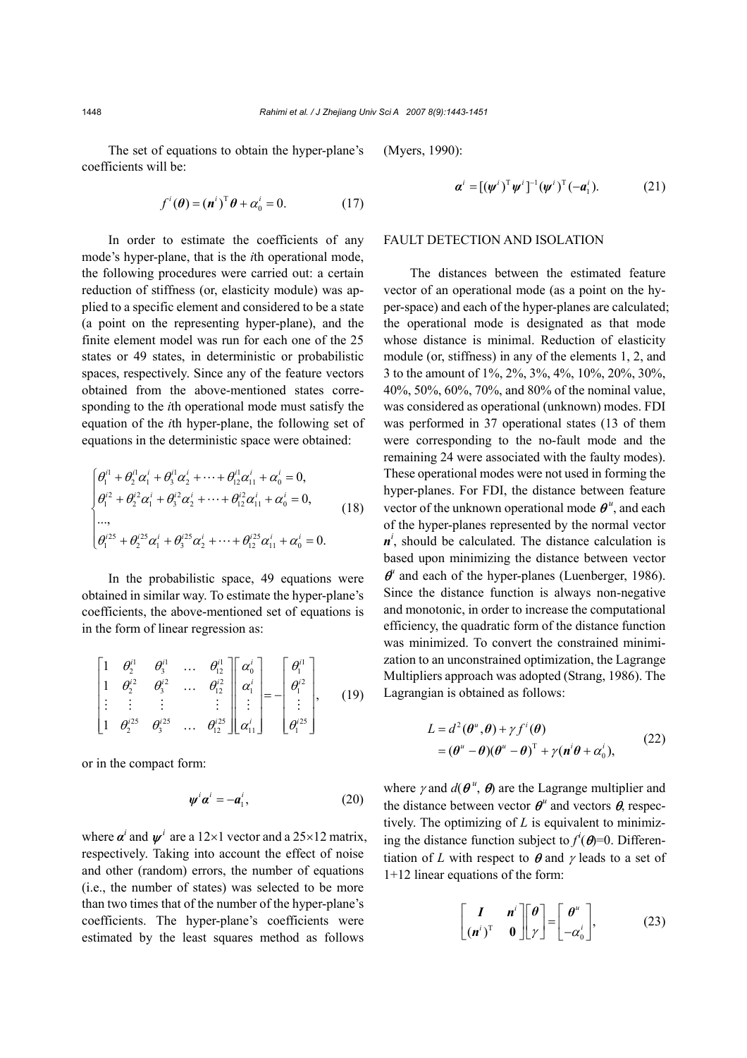The set of equations to obtain the hyper-plane's coefficients will be:

$$
f^{i}(\boldsymbol{\theta}) = (\boldsymbol{n}^{i})^{\mathrm{T}} \boldsymbol{\theta} + \alpha_{0}^{i} = 0.
$$
 (17)

In order to estimate the coefficients of any mode's hyper-plane, that is the *i*th operational mode, the following procedures were carried out: a certain reduction of stiffness (or, elasticity module) was applied to a specific element and considered to be a state (a point on the representing hyper-plane), and the finite element model was run for each one of the 25 states or 49 states, in deterministic or probabilistic spaces, respectively. Since any of the feature vectors obtained from the above-mentioned states corresponding to the *i*th operational mode must satisfy the equation of the *i*th hyper-plane, the following set of equations in the deterministic space were obtained:

$$
\begin{cases}\n\theta_1^{i1} + \theta_2^{i1} \alpha_1^{i} + \theta_3^{i1} \alpha_2^{i} + \dots + \theta_{12}^{i1} \alpha_{11}^{i} + \alpha_0^{i} = 0, \\
\theta_1^{i2} + \theta_2^{i2} \alpha_1^{i} + \theta_3^{i2} \alpha_2^{i} + \dots + \theta_{12}^{i2} \alpha_{11}^{i} + \alpha_0^{i} = 0, \\
\dots, \\
\theta_1^{i25} + \theta_2^{i25} \alpha_1^{i} + \theta_3^{i25} \alpha_2^{i} + \dots + \theta_{12}^{i25} \alpha_{11}^{i} + \alpha_0^{i} = 0.\n\end{cases}
$$
\n(18)

In the probabilistic space, 49 equations were obtained in similar way. To estimate the hyper-plane's coefficients, the above-mentioned set of equations is in the form of linear regression as:

$$
\begin{bmatrix} 1 & \theta_1^{i1} & \theta_3^{i1} & \dots & \theta_{12}^{i1} \\ 1 & \theta_2^{i2} & \theta_3^{i2} & \dots & \theta_{12}^{i2} \\ \vdots & \vdots & \vdots & & \vdots \\ 1 & \theta_2^{i25} & \theta_3^{i25} & \dots & \theta_{12}^{i25} \end{bmatrix} \begin{bmatrix} \alpha_0^i \\ \alpha_1^i \\ \vdots \\ \alpha_{11}^i \end{bmatrix} = - \begin{bmatrix} \theta_1^{i1} \\ \theta_1^{i2} \\ \vdots \\ \theta_1^{i25} \end{bmatrix}, \quad (19)
$$

or in the compact form:

$$
\psi^i \alpha^i = -a_1^i, \qquad (20)
$$

where  $\alpha^i$  and  $\psi^i$  are a 12×1 vector and a 25×12 matrix, respectively. Taking into account the effect of noise and other (random) errors, the number of equations (i.e., the number of states) was selected to be more than two times that of the number of the hyper-plane's coefficients. The hyper-plane's coefficients were estimated by the least squares method as follows

(Myers, 1990):

$$
\boldsymbol{\alpha}^{i} = [(\boldsymbol{\psi}^{i})^{\mathrm{T}} \boldsymbol{\psi}^{i}]^{-1} (\boldsymbol{\psi}^{i})^{\mathrm{T}} (-\boldsymbol{a}_{1}^{i}).
$$
 (21)

#### FAULT DETECTION AND ISOLATION

The distances between the estimated feature vector of an operational mode (as a point on the hyper-space) and each of the hyper-planes are calculated; the operational mode is designated as that mode whose distance is minimal. Reduction of elasticity module (or, stiffness) in any of the elements 1, 2, and 3 to the amount of 1%, 2%, 3%, 4%, 10%, 20%, 30%, 40%, 50%, 60%, 70%, and 80% of the nominal value, was considered as operational (unknown) modes. FDI was performed in 37 operational states (13 of them were corresponding to the no-fault mode and the remaining 24 were associated with the faulty modes). These operational modes were not used in forming the hyper-planes. For FDI, the distance between feature vector of the unknown operational mode  $\theta^u$ , and each of the hyper-planes represented by the normal vector  $n^i$ , should be calculated. The distance calculation is based upon minimizing the distance between vector  $\theta^{\mu}$  and each of the hyper-planes (Luenberger, 1986). Since the distance function is always non-negative and monotonic, in order to increase the computational efficiency, the quadratic form of the distance function was minimized. To convert the constrained minimization to an unconstrained optimization, the Lagrange Multipliers approach was adopted (Strang, 1986). The Lagrangian is obtained as follows:

$$
L = d^{2}(\boldsymbol{\theta}^{u}, \boldsymbol{\theta}) + \gamma f^{i}(\boldsymbol{\theta})
$$
  
=  $(\boldsymbol{\theta}^{u} - \boldsymbol{\theta})(\boldsymbol{\theta}^{u} - \boldsymbol{\theta})^{T} + \gamma(\boldsymbol{n}^{i}\boldsymbol{\theta} + \alpha_{0}^{i}),$  (22)

where  $\gamma$  and  $d(\theta^u, \theta)$  are the Lagrange multiplier and the distance between vector  $\boldsymbol{\theta}^u$  and vectors  $\boldsymbol{\theta}$ , respectively. The optimizing of *L* is equivalent to minimizing the distance function subject to  $f^{i}(\theta) = 0$ . Differentiation of *L* with respect to  $\theta$  and  $\gamma$  leads to a set of 1+12 linear equations of the form:

$$
\begin{bmatrix} I & n^i \\ (n^i)^T & 0 \end{bmatrix} \begin{bmatrix} \theta \\ \gamma \end{bmatrix} = \begin{bmatrix} \theta^u \\ -\alpha_0^i \end{bmatrix},
$$
 (23)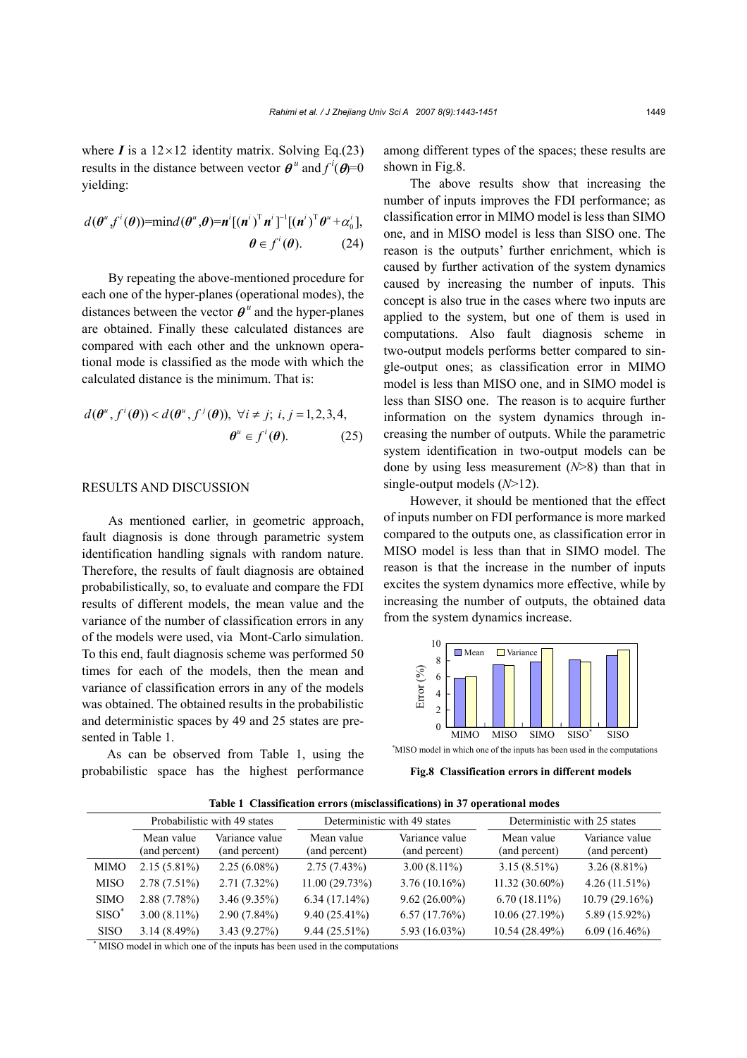where  $I$  is a  $12 \times 12$  identity matrix. Solving Eq.(23) results in the distance between vector  $\boldsymbol{\theta}^u$  and  $f^i(\boldsymbol{\theta})=0$ yielding:

$$
d(\boldsymbol{\theta}^u, f^i(\boldsymbol{\theta})) = \min d(\boldsymbol{\theta}^u, \boldsymbol{\theta}) = \boldsymbol{n}^i [(\boldsymbol{n}^i)^T \boldsymbol{n}^i]^{-1} [(\boldsymbol{n}^i)^T \boldsymbol{\theta}^u + \alpha_0^i],
$$
  

$$
\boldsymbol{\theta} \in f^i(\boldsymbol{\theta}).
$$
 (24)

By repeating the above-mentioned procedure for each one of the hyper-planes (operational modes), the distances between the vector  $\theta^u$  and the hyper-planes are obtained. Finally these calculated distances are compared with each other and the unknown operational mode is classified as the mode with which the calculated distance is the minimum. That is:

$$
d(\theta^u, f^i(\theta)) < d(\theta^u, f^j(\theta)), \ \forall i \neq j; \ i, j = 1, 2, 3, 4,
$$

$$
\theta^u \in f^i(\theta). \tag{25}
$$

## RESULTS AND DISCUSSION

As mentioned earlier, in geometric approach, fault diagnosis is done through parametric system identification handling signals with random nature. Therefore, the results of fault diagnosis are obtained probabilistically, so, to evaluate and compare the FDI results of different models, the mean value and the variance of the number of classification errors in any of the models were used, via Mont-Carlo simulation. To this end, fault diagnosis scheme was performed 50 times for each of the models, then the mean and variance of classification errors in any of the models was obtained. The obtained results in the probabilistic and deterministic spaces by 49 and 25 states are presented in Table 1.

As can be observed from Table 1, using the probabilistic space has the highest performance among different types of the spaces; these results are shown in Fig.8.

The above results show that increasing the number of inputs improves the FDI performance; as classification error in MIMO model is less than SIMO one, and in MISO model is less than SISO one. The reason is the outputs' further enrichment, which is caused by further activation of the system dynamics caused by increasing the number of inputs. This concept is also true in the cases where two inputs are applied to the system, but one of them is used in computations. Also fault diagnosis scheme in two-output models performs better compared to single-output ones; as classification error in MIMO model is less than MISO one, and in SIMO model is less than SISO one. The reason is to acquire further information on the system dynamics through increasing the number of outputs. While the parametric system identification in two-output models can be done by using less measurement (*N*>8) than that in single-output models (*N*>12).

However, it should be mentioned that the effect of inputs number on FDI performance is more marked compared to the outputs one, as classification error in MISO model is less than that in SIMO model. The reason is that the increase in the number of inputs excites the system dynamics more effective, while by increasing the number of outputs, the obtained data from the system dynamics increase.



\* MISO model in which one of the inputs has been used in the computations

**Fig.8 Classification errors in different models**

| Table 1 Classification errors (misclassifications) in 37 operational modes |  |  |  |  |  |  |
|----------------------------------------------------------------------------|--|--|--|--|--|--|
|----------------------------------------------------------------------------|--|--|--|--|--|--|

|                   | Probabilistic with 49 states |                                 | Deterministic with 49 states |                                 | Deterministic with 25 states |                                 |
|-------------------|------------------------------|---------------------------------|------------------------------|---------------------------------|------------------------------|---------------------------------|
|                   | Mean value<br>(and percent)  | Variance value<br>(and percent) | Mean value<br>(and percent)  | Variance value<br>(and percent) | Mean value<br>(and percent)  | Variance value<br>(and percent) |
| <b>MIMO</b>       | $2.15(5.81\%)$               | $2.25(6.08\%)$                  | $2.75(7.43\%)$               | $3.00(8.11\%)$                  | $3.15(8.51\%)$               | $3.26(8.81\%)$                  |
| <b>MISO</b>       | $2.78(7.51\%)$               | $2.71(7.32\%)$                  | 11.00(29.73%)                | $3.76(10.16\%)$                 | 11.32 (30.60%)               | $4.26(11.51\%)$                 |
| <b>SIMO</b>       | 2.88(7.78%)                  | $3.46(9.35\%)$                  | $6.34(17.14\%)$              | $9.62(26.00\%)$                 | $6.70(18.11\%)$              | 10.79(29.16%)                   |
| SISO <sup>®</sup> | $3.00(8.11\%)$               | $2.90(7.84\%)$                  | $9.40(25.41\%)$              | 6.57(17.76%)                    | 10.06(27.19%)                | 5.89 (15.92%)                   |
| <b>SISO</b>       | $3.14(8.49\%)$               | 3.43(9.27%)                     | $9.44(25.51\%)$              | 5.93 $(16.03\%)$                | 10.54 (28.49%)               | $6.09(16.46\%)$                 |

\* MISO model in which one of the inputs has been used in the computations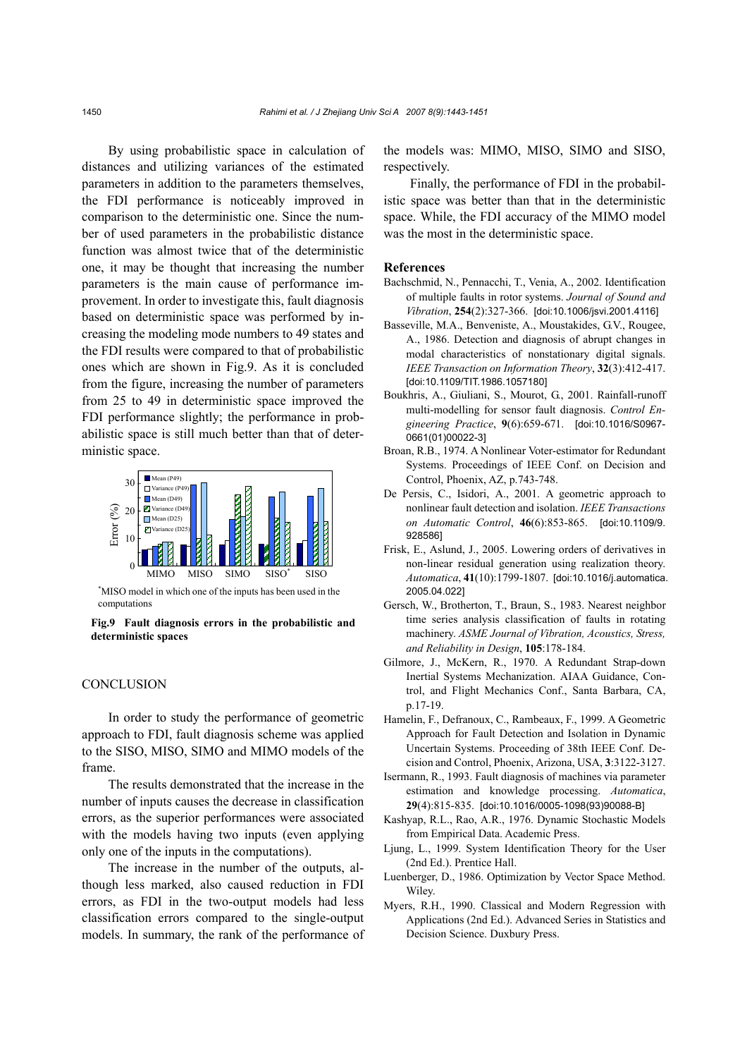By using probabilistic space in calculation of distances and utilizing variances of the estimated parameters in addition to the parameters themselves, the FDI performance is noticeably improved in comparison to the deterministic one. Since the number of used parameters in the probabilistic distance function was almost twice that of the deterministic one, it may be thought that increasing the number parameters is the main cause of performance improvement. In order to investigate this, fault diagnosis based on deterministic space was performed by increasing the modeling mode numbers to 49 states and the FDI results were compared to that of probabilistic ones which are shown in Fig.9. As it is concluded from the figure, increasing the number of parameters from 25 to 49 in deterministic space improved the FDI performance slightly; the performance in probabilistic space is still much better than that of deterministic space.



\* MISO model in which one of the inputs has been used in the computations

**Fig.9 Fault diagnosis errors in the probabilistic and deterministic spaces**

### **CONCLUSION**

In order to study the performance of geometric approach to FDI, fault diagnosis scheme was applied to the SISO, MISO, SIMO and MIMO models of the frame.

The results demonstrated that the increase in the number of inputs causes the decrease in classification errors, as the superior performances were associated with the models having two inputs (even applying only one of the inputs in the computations).

The increase in the number of the outputs, although less marked, also caused reduction in FDI errors, as FDI in the two-output models had less classification errors compared to the single-output models. In summary, the rank of the performance of the models was: MIMO, MISO, SIMO and SISO, respectively.

Finally, the performance of FDI in the probabilistic space was better than that in the deterministic space. While, the FDI accuracy of the MIMO model was the most in the deterministic space.

#### **References**

- Bachschmid, N., Pennacchi, T., Venia, A., 2002. Identification of multiple faults in rotor systems. *Journal of Sound and Vibration*, **254**(2):327-366. [doi:10.1006/jsvi.2001.4116]
- Basseville, M.A., Benveniste, A., Moustakides, G.V., Rougee, A., 1986. Detection and diagnosis of abrupt changes in modal characteristics of nonstationary digital signals. *IEEE Transaction on Information Theory*, **32**(3):412-417. [doi:10.1109/TIT.1986.1057180]
- Boukhris, A., Giuliani, S., Mourot, G., 2001. Rainfall-runoff multi-modelling for sensor fault diagnosis. *Control Engineering Practice*, **9**(6):659-671. [doi:10.1016/S0967- 0661(01)00022-3]
- Broan, R.B., 1974. A Nonlinear Voter-estimator for Redundant Systems. Proceedings of IEEE Conf. on Decision and Control, Phoenix, AZ, p.743-748.
- De Persis, C., Isidori, A., 2001. A geometric approach to nonlinear fault detection and isolation. *IEEE Transactions on Automatic Control*, **46**(6):853-865. [doi:10.1109/9. 928586]
- Frisk, E., Aslund, J., 2005. Lowering orders of derivatives in non-linear residual generation using realization theory. *Automatica*, **41**(10):1799-1807. [doi:10.1016/j.automatica. 2005.04.022]
- Gersch, W., Brotherton, T., Braun, S., 1983. Nearest neighbor time series analysis classification of faults in rotating machinery. *ASME Journal of Vibration, Acoustics, Stress, and Reliability in Design*, **105**:178-184.
- Gilmore, J., McKern, R., 1970. A Redundant Strap-down Inertial Systems Mechanization. AIAA Guidance, Control, and Flight Mechanics Conf., Santa Barbara, CA, p.17-19.
- Hamelin, F., Defranoux, C., Rambeaux, F., 1999. A Geometric Approach for Fault Detection and Isolation in Dynamic Uncertain Systems. Proceeding of 38th IEEE Conf. Decision and Control, Phoenix, Arizona, USA, **3**:3122-3127.
- Isermann, R., 1993. Fault diagnosis of machines via parameter estimation and knowledge processing. *Automatica*, **29**(4):815-835. [doi:10.1016/0005-1098(93)90088-B]
- Kashyap, R.L., Rao, A.R., 1976. Dynamic Stochastic Models from Empirical Data. Academic Press.
- Ljung, L., 1999. System Identification Theory for the User (2nd Ed.). Prentice Hall.
- Luenberger, D., 1986. Optimization by Vector Space Method. Wiley.
- Myers, R.H., 1990. Classical and Modern Regression with Applications (2nd Ed.). Advanced Series in Statistics and Decision Science. Duxbury Press.